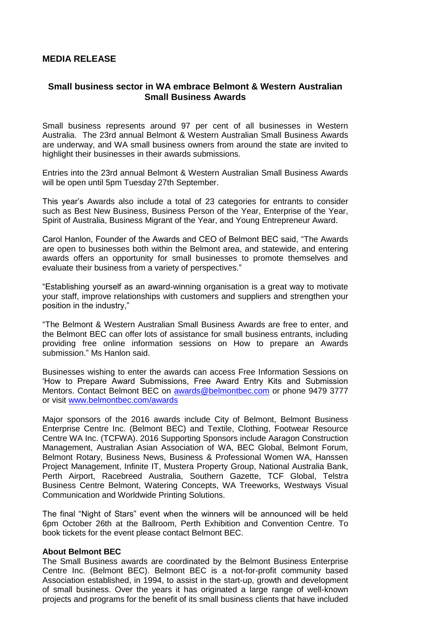## **MEDIA RELEASE**

## **Small business sector in WA embrace Belmont & Western Australian Small Business Awards**

Small business represents around 97 per cent of all businesses in Western Australia. The 23rd annual Belmont & Western Australian Small Business Awards are underway, and WA small business owners from around the state are invited to highlight their businesses in their awards submissions.

Entries into the 23rd annual Belmont & Western Australian Small Business Awards will be open until 5pm Tuesday 27th September.

This year"s Awards also include a total of 23 categories for entrants to consider such as Best New Business, Business Person of the Year, Enterprise of the Year, Spirit of Australia, Business Migrant of the Year, and Young Entrepreneur Award.

Carol Hanlon, Founder of the Awards and CEO of Belmont BEC said, "The Awards are open to businesses both within the Belmont area, and statewide, and entering awards offers an opportunity for small businesses to promote themselves and evaluate their business from a variety of perspectives."

"Establishing yourself as an award-winning organisation is a great way to motivate your staff, improve relationships with customers and suppliers and strengthen your position in the industry,"

"The Belmont & Western Australian Small Business Awards are free to enter, and the Belmont BEC can offer lots of assistance for small business entrants, including providing free online information sessions on How to prepare an Awards submission." Ms Hanlon said.

Businesses wishing to enter the awards can access Free Information Sessions on "How to Prepare Award Submissions, Free Award Entry Kits and Submission Mentors. Contact Belmont BEC on [awards@belmontbec.com](mailto:awards@belmontbec.com) or phone 9479 3777 or visit [www.belmontbec.com/awards](http://www.belmontbec.com/awards)

Major sponsors of the 2016 awards include City of Belmont, Belmont Business Enterprise Centre Inc. (Belmont BEC) and Textile, Clothing, Footwear Resource Centre WA Inc. (TCFWA). 2016 Supporting Sponsors include Aaragon Construction Management, Australian Asian Association of WA, BEC Global, Belmont Forum, Belmont Rotary, Business News, Business & Professional Women WA, Hanssen Project Management, Infinite IT, Mustera Property Group, National Australia Bank, Perth Airport, Racebreed Australia, Southern Gazette, TCF Global, Telstra Business Centre Belmont, Watering Concepts, WA Treeworks, Westways Visual Communication and Worldwide Printing Solutions.

The final "Night of Stars" event when the winners will be announced will be held 6pm October 26th at the Ballroom, Perth Exhibition and Convention Centre. To book tickets for the event please contact Belmont BEC.

## **About Belmont BEC**

The Small Business awards are coordinated by the Belmont Business Enterprise Centre Inc. (Belmont BEC). Belmont BEC is a not-for-profit community based Association established, in 1994, to assist in the start-up, growth and development of small business. Over the years it has originated a large range of well-known projects and programs for the benefit of its small business clients that have included